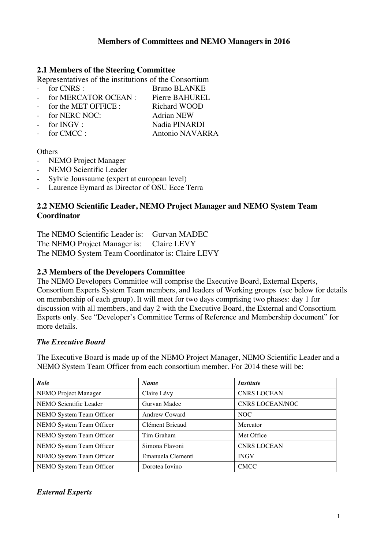## **Members of Committees and NEMO Managers in 2016**

## **2.1 Members of the Steering Committee**

Representatives of the institutions of the Consortium

- for CNRS : Bruno BLANKE
- for MERCATOR OCEAN : Pierre BAHUREL
- for the MET OFFICE : Richard WOOD
- for NERC NOC: Adrian NEW
- for INGV : Nadia PINARDI
- for CMCC : Antonio NAVARRA

#### **Others**

- NEMO Project Manager
- NEMO Scientific Leader
- Sylvie Joussaume (expert at european level)
- Laurence Eymard as Director of OSU Ecce Terra

## **2.2 NEMO Scientific Leader, NEMO Project Manager and NEMO System Team Coordinator**

The NEMO Scientific Leader is: Gurvan MADEC The NEMO Project Manager is: Claire LEVY The NEMO System Team Coordinator is: Claire LEVY

### **2.3 Members of the Developers Committee**

The NEMO Developers Committee will comprise the Executive Board, External Experts, Consortium Experts System Team members, and leaders of Working groups (see below for details on membership of each group). It will meet for two days comprising two phases: day 1 for discussion with all members, and day 2 with the Executive Board, the External and Consortium Experts only. See "Developer's Committee Terms of Reference and Membership document" for more details.

#### *The Executive Board*

The Executive Board is made up of the NEMO Project Manager, NEMO Scientific Leader and a NEMO System Team Officer from each consortium member. For 2014 these will be:

| Role                        | <b>Name</b>          | <i><b>Institute</b></i> |
|-----------------------------|----------------------|-------------------------|
| <b>NEMO</b> Project Manager | Claire Lévy          | <b>CNRS LOCEAN</b>      |
| NEMO Scientific Leader      | Gurvan Madec         | <b>CNRS LOCEAN/NOC</b>  |
| NEMO System Team Officer    | <b>Andrew Coward</b> | NOC                     |
| NEMO System Team Officer    | Clément Bricaud      | Mercator                |
| NEMO System Team Officer    | Tim Graham           | Met Office              |
| NEMO System Team Officer    | Simona Flavoni       | <b>CNRS LOCEAN</b>      |
| NEMO System Team Officer    | Emanuela Clementi    | <b>INGV</b>             |
| NEMO System Team Officer    | Dorotea Iovino       | <b>CMCC</b>             |

## *External Experts*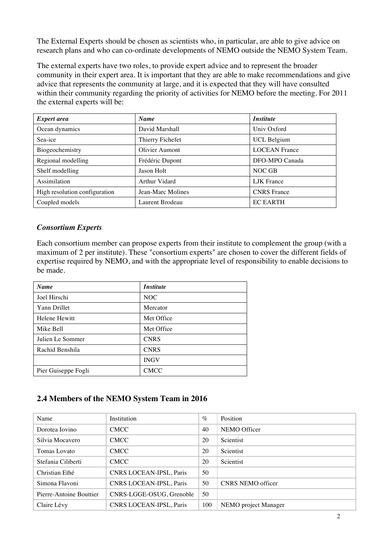The External Experts should be chosen as scientists who, in particular, are able to give advice on research plans and who can co-ordinate developments of NEMO outside the NEMO System Team.

The external experts have two roles, to provide expert advice and to represent the broader community in their expert area. It is important that they are able to make recommendations and give advice that represents the community at large, and it is expected that they will have consulted within their community regarding the priority of activities for NEMO before the meeting. For 2011 the external experts will be:

| <i>Expert area</i>            | <b>Name</b>          | <i><b>Institute</b></i> |
|-------------------------------|----------------------|-------------------------|
| Ocean dynamics                | David Marshall       | Univ Oxford             |
| Sea-ice                       | Thierry Fichefet     | <b>UCL Belgium</b>      |
| Biogeochemistry               | Olivier Aumont       | <b>LOCEAN France</b>    |
| Regional modelling            | Frédéric Dupont      | DFO-MPO Canada          |
| Shelf modelling               | Jason Holt           | NOC GB                  |
| Assimilation                  | <b>Arthur Vidard</b> | <b>LJK</b> France       |
| High resolution configuration | Jean-Marc Molines    | <b>CNRS</b> France      |
| Coupled models                | Laurent Brodeau      | <b>EC EARTH</b>         |

## *Consortium Experts*

Each consortium member can propose experts from their institute to complement the group (with a maximum of 2 per institute). These "consortium experts" are chosen to cover the different fields of expertise required by NEMO, and with the appropriate level of responsibility to enable decisions to be made.

| <b>Name</b>         | <i><b>Institute</b></i> |
|---------------------|-------------------------|
| Joel Hirschi        | NOC                     |
| <b>Yann Drillet</b> | Mercator                |
| Helene Hewitt       | Met Office              |
| Mike Bell           | Met Office              |
| Julien Le Sommer    | <b>CNRS</b>             |
| Rachid Benshila     | <b>CNRS</b>             |
|                     | <b>INGV</b>             |
| Pier Guiseppe Fogli | <b>CMCC</b>             |

## **2.4 Members of the NEMO System Team in 2016**

| Name                    | Institution              | $\%$ | Position             |
|-------------------------|--------------------------|------|----------------------|
| Dorotea Iovino          | <b>CMCC</b>              | 40   | NEMO Officer         |
| Silvia Mocavero         | <b>CMCC</b>              | 20   | Scientist            |
| Tomas Lovato            | <b>CMCC</b>              | 20   | Scientist            |
| Stefania Ciliberti      | <b>CMCC</b>              | 20   | Scientist            |
| Christian Ethé          | CNRS LOCEAN-IPSL, Paris  | 50   |                      |
| Simona Flavoni          | CNRS LOCEAN-IPSL, Paris  | 50   | CNRS NEMO officer    |
| Pierre-Antoine Bouttier | CNRS-LGGE-OSUG, Grenoble | 50   |                      |
| Claire Lévy             | CNRS LOCEAN-IPSL, Paris  | 100  | NEMO project Manager |